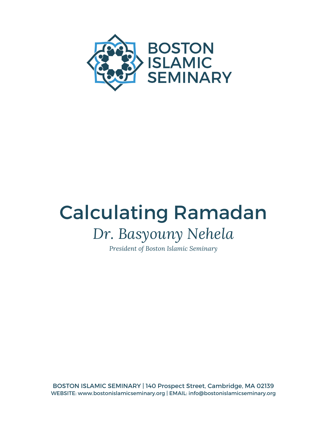

## Calculating Ramadan *Dr. Basyouny Nehela*

*President of Boston Islamic Seminary*

BOSTON ISLAMIC SEMINARY | 140 Prospect Street, Cambridge, MA 02139 WEBSITE: www.bostonislamicseminary.org | EMAIL: info@bostonislamicseminary.org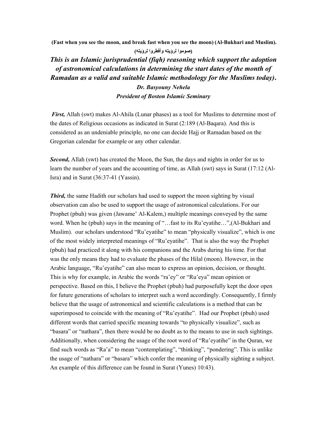**(Fast when you see the moon, and break fast when you see the moon) (Al-Bukhari and Muslim).** 

 **(صوموا لرؤيته وأفطروا لرؤيته)**

*This is an Islamic jurisprudential (fiqh) reasoning which support the adoption of astronomical calculations in determining the start dates of the month of Ramadan as a valid and suitable Islamic methodology for the Muslims today)***.**

> *Dr. Basyouny Nehela President of Boston Islamic Seminary*

*First,* Allah (swt) makes Al-Ahila (Lunar phases) as a tool for Muslims to determine most of the dates of Religious occasions as indicated in Surat (2:189 (Al-Baqara). And this is considered as an undeniable principle, no one can decide Hajj or Ramadan based on the Gregorian calendar for example or any other calendar.

**Second,** Allah (swt) has created the Moon, the Sun, the days and nights in order for us to learn the number of years and the accounting of time, as Allah (swt) says in Surat (17:12 (Al-Isra) and in Surat (36:37-41 (Yassin).

*Third*, the same Hadith our scholars had used to support the moon sighting by visual observation can also be used to support the usage of astronomical calculations. For our Prophet (pbuh) was given (Jawame' Al-Kalem,) multiple meanings conveyed by the same word. When he (pbuh) says in the meaning of "...fast to its Ru'eyatihe...", (Al-Bukhari and Muslim). our scholars understood "Ru'eyatihe" to mean "physically visualize", which is one of the most widely interpreted meanings of "Ru'eyatihe". That is also the way the Prophet (pbuh) had practiced it along with his companions and the Arabs during his time. For that was the only means they had to evaluate the phases of the Hilal (moon). However, in the Arabic language, "Ru'eyatihe" can also mean to express an opinion, decision, or thought. This is why for example, in Arabic the words "ra'ey" or "Ru'eya" mean opinion or perspective. Based on this, I believe the Prophet (pbuh) had purposefully kept the door open for future generations of scholars to interpret such a word accordingly. Consequently, I firmly believe that the usage of astronomical and scientific calculations is a method that can be superimposed to coincide with the meaning of "Ru'eyatihe". Had our Prophet (pbuh) used different words that carried specific meaning towards "to physically visualize", such as "basara" or "nathara", then there would be no doubt as to the means to use in such sightings. Additionally, when considering the usage of the root word of "Ru'eyatihe" in the Quran, we find such words as "Ra'a" to mean "contemplating", "thinking", "pondering". This is unlike the usage of "nathara" or "basara" which confer the meaning of physically sighting a subject. An example of this difference can be found in Surat (Yunes) 10:43).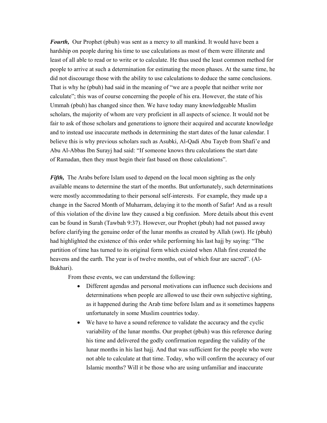*Fourth*, Our Prophet (pbuh) was sent as a mercy to all mankind. It would have been a hardship on people during his time to use calculations as most of them were illiterate and least of all able to read or to write or to calculate. He thus used the least common method for people to arrive at such a determination for estimating the moon phases. At the same time, he did not discourage those with the ability to use calculations to deduce the same conclusions. That is why he (pbuh) had said in the meaning of "we are a people that neither write nor calculate"; this was of course concerning the people of his era. However, the state of his Ummah (pbuh) has changed since then. We have today many knowledgeable Muslim scholars, the majority of whom are very proficient in all aspects of science. It would not be fair to ask of those scholars and generations to ignore their acquired and accurate knowledge and to instead use inaccurate methods in determining the start dates of the lunar calendar. I believe this is why previous scholars such as Asubki, Al-Qadi Abu Tayeb from Shafi'e and Abu Al-Abbas Ibn Surayj had said: "If someone knows thru calculations the start date of Ramadan, then they must begin their fast based on those calculations".

*Fifth,* The Arabs before Islam used to depend on the local moon sighting as the only available means to determine the start of the months. But unfortunately, such determinations were mostly accommodating to their personal self-interests. For example, they made up a change in the Sacred Month of Muharram, delaying it to the month of Safar! And as a result of this violation of the divine law they caused a big confusion. More details about this event can be found in Surah (Tawbah 9:37). However, our Prophet (pbuh) had not passed away before clarifying the genuine order of the lunar months as created by Allah (swt). He (pbuh) had highlighted the existence of this order while performing his last hajj by saying: "The partition of time has turned to its original form which existed when Allah first created the heavens and the earth. The year is of twelve months, out of which four are sacred". (Al-Bukhari).

From these events, we can understand the following:

- Different agendas and personal motivations can influence such decisions and determinations when people are allowed to use their own subjective sighting, as it happened during the Arab time before Islam and as it sometimes happens unfortunately in some Muslim countries today.
- We have to have a sound reference to validate the accuracy and the cyclic variability of the lunar months. Our prophet (pbuh) was this reference during his time and delivered the godly confirmation regarding the validity of the lunar months in his last hajj. And that was sufficient for the people who were not able to calculate at that time. Today, who will confirm the accuracy of our Islamic months? Will it be those who are using unfamiliar and inaccurate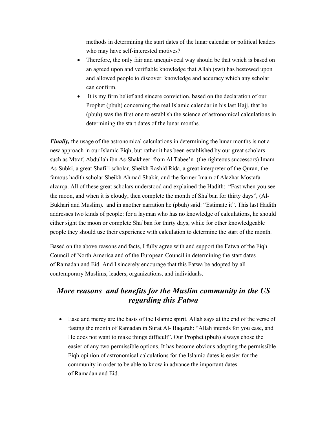methods in determining the start dates of the lunar calendar or political leaders who may have self-interested motives?

- Therefore, the only fair and unequivocal way should be that which is based on an agreed upon and verifiable knowledge that Allah (swt) has bestowed upon and allowed people to discover: knowledge and accuracy which any scholar can confirm.
- It is my firm belief and sincere conviction, based on the declaration of our Prophet (pbuh) concerning the real Islamic calendar in his last Hajj, that he (pbuh) was the first one to establish the science of astronomical calculations in determining the start dates of the lunar months.

*Finally*, the usage of the astronomical calculations in determining the lunar months is not a new approach in our Islamic Fiqh, but rather it has been established by our great scholars such as Mtraf, Abdullah ibn As-Shakheer from Al Tabee'n (the righteous successors) Imam As-Subki, a great Shafi`i scholar, Sheikh Rashid Rida, a great interpreter of the Quran, the famous hadith scholar Sheikh Ahmad Shakir, and the former Imam of Alazhar Mostafa alzarqa. All of these great scholars understood and explained the Hadith: "Fast when you see the moon, and when it is cloudy, then complete the month of Sha`ban for thirty days", (Al-Bukhari and Muslim). and in another narration he (pbuh) said: "Estimate it". This last Hadith addresses two kinds of people: for a layman who has no knowledge of calculations, he should either sight the moon or complete Sha`ban for thirty days, while for other knowledgeable people they should use their experience with calculation to determine the start of the month.

Based on the above reasons and facts, I fully agree with and support the Fatwa of the Fiqh Council of North America and of the European Council in determining the start dates of Ramadan and Eid. And I sincerely encourage that this Fatwa be adopted by all contemporary Muslims, leaders, organizations, and individuals.

## *More reasons and benefits for the Muslim community in the US regarding this Fatwa*

 Ease and mercy are the basis of the Islamic spirit. Allah says at the end of the verse of fasting the month of Ramadan in Surat Al- Baqarah: "Allah intends for you ease, and He does not want to make things difficult". Our Prophet (pbuh) always chose the easier of any two permissible options. It has become obvious adopting the permissible Fiqh opinion of astronomical calculations for the Islamic dates is easier for the community in order to be able to know in advance the important dates of Ramadan and Eid.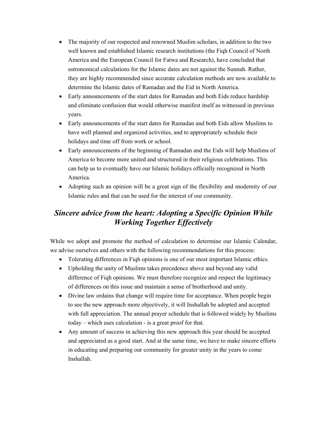- The majority of our respected and renowned Muslim scholars, in addition to the two well known and established Islamic research institutions (the Fiqh Council of North America and the European Council for Fatwa and Research), have concluded that astronomical calculations for the Islamic dates are not against the Sunnah. Rather, they are highly recommended since accurate calculation methods are now available to determine the Islamic dates of Ramadan and the Eid in North America.
- Early announcements of the start dates for Ramadan and both Eids reduce hardship and eliminate confusion that would otherwise manifest itself as witnessed in previous years.
- Early announcements of the start dates for Ramadan and both Eids allow Muslims to have well planned and organized activities, and to appropriately schedule their holidays and time off from work or school.
- Early announcements of the beginning of Ramadan and the Eids will help Muslims of America to become more united and structured in their religious celebrations. This can help us to eventually have our Islamic holidays officially recognized in North America.
- Adopting such an opinion will be a great sign of the flexibility and modernity of our Islamic rules and that can be used for the interest of our community.

## *Sincere advice from the heart: Adopting a Specific Opinion While Working Together Effectively*

While we adopt and promote the method of calculation to determine our Islamic Calendar, we advise ourselves and others with the following recommendations for this process:

- Tolerating differences in Fiqh opinions is one of our most important Islamic ethics.
- Upholding the unity of Muslims takes precedence above and beyond any valid difference of Fiqh opinions. We must therefore recognize and respect the legitimacy of differences on this issue and maintain a sense of brotherhood and unity.
- Divine law ordains that change will require time for acceptance. When people begin to see the new approach more objectively, it will Inshallah be adopted and accepted with full appreciation. The annual prayer schedule that is followed widely by Muslims today – which uses calculation - is a great proof for that.
- Any amount of success in achieving this new approach this year should be accepted and appreciated as a good start. And at the same time, we have to make sincere efforts in educating and preparing our community for greater unity in the years to come Inshallah.